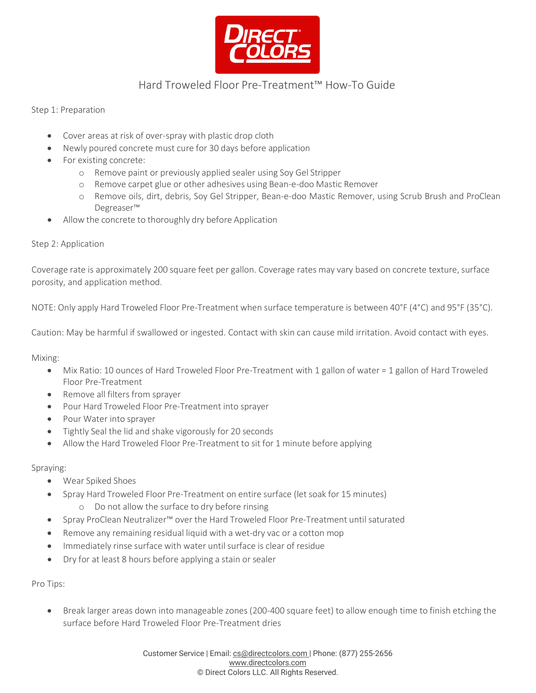

## Hard Troweled Floor Pre-Treatment™ How-To Guide

Step 1: Preparation

- Cover areas at risk of over-spray with plastic drop cloth
- Newly poured concrete must cure for 30 days before application
- For existing concrete:
	- o Remove paint or previously applied sealer using Soy Gel Stripper
	- o Remove carpet glue or other adhesives using Bean-e-doo Mastic Remover
	- o Remove oils, dirt, debris, Soy Gel Stripper, Bean-e-doo Mastic Remover, using Scrub Brush and ProClean Degreaser™
- Allow the concrete to thoroughly dry before Application

## Step 2: Application

Coverage rate is approximately 200 square feet per gallon. Coverage rates may vary based on concrete texture, surface porosity, and application method.

NOTE: Only apply Hard Troweled Floor Pre-Treatment when surface temperature is between 40°F (4°C) and 95°F (35°C).

Caution: May be harmful if swallowed or ingested. Contact with skin can cause mild irritation. Avoid contact with eyes.

Mixing:

- Mix Ratio: 10 ounces of Hard Troweled Floor Pre-Treatment with 1 gallon of water = 1 gallon of Hard Troweled Floor Pre-Treatment
- Remove all filters from sprayer
- Pour Hard Troweled Floor Pre-Treatment into sprayer
- Pour Water into sprayer
- Tightly Seal the lid and shake vigorously for 20 seconds
- Allow the Hard Troweled Floor Pre-Treatment to sit for 1 minute before applying

## Spraying:

- Wear Spiked Shoes
- Spray Hard Troweled Floor Pre-Treatment on entire surface (letsoak for 15 minutes)
	- o Do not allow the surface to dry before rinsing
- Spray ProClean Neutralizer™ over the Hard Troweled Floor Pre-Treatment until saturated
- Remove any remaining residual liquid with a wet-dry vac or a cotton mop
- Immediately rinse surface with water until surface is clear of residue
- Dry for at least 8 hours before applying a stain or sealer

Pro Tips:

• Break larger areas down into manageable zones (200-400 square feet) to allow enough time to finish etching the surface before Hard Troweled Floor Pre-Treatment dries